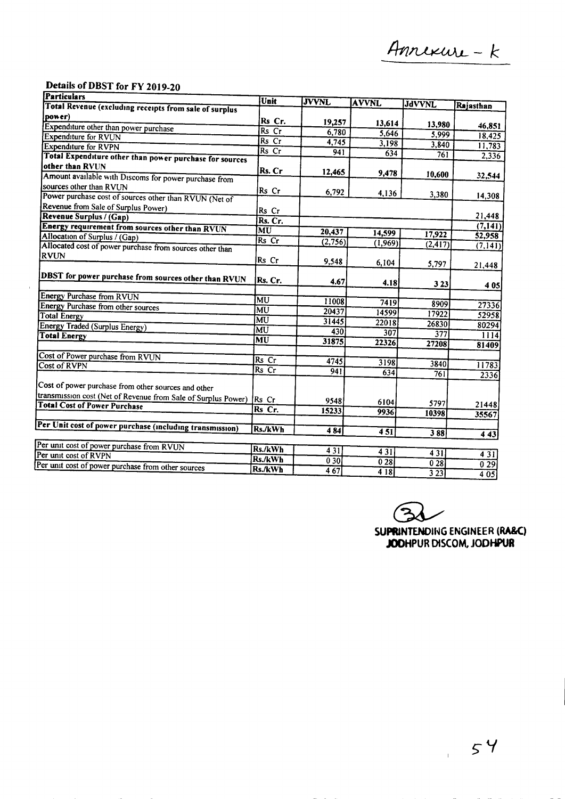## Details of DBST for FY 2019-20

Ŷ.

| Particulars                                                   | Unit           | <b>JVVNL</b>    | <b>AVVNL</b>     |                  |                    |
|---------------------------------------------------------------|----------------|-----------------|------------------|------------------|--------------------|
| Total Revenue (excluding receipts from sale of surplus        |                |                 |                  | <b>JdVVNL</b>    | Rajasthan          |
| power)                                                        | Rs Cr.         |                 |                  |                  |                    |
| Expenditure other than power purchase                         | Rs Cr          | 19,257<br>6,780 | 13,614           | 13,980           | 46,851             |
| <b>Expenditure for RVUN</b>                                   | Rs Cr          |                 | 5,646            | 5,999            | 18,425             |
| <b>Expenditure for RVPN</b>                                   | Rs Cr          | 4,745           | 3,198            | 3,840            | 11,783             |
| Total Expenditure other than power purchase for sources       |                | 941             | 634              | 761              | 2,336              |
| other than RVUN                                               | Rs. Cr         |                 |                  |                  |                    |
| Amount available with Discoms for power purchase from         |                | 12,465          | 9,478            | 10,600           | 32,544             |
| sources other than RVUN                                       | Rs Cr          |                 |                  |                  |                    |
| Power purchase cost of sources other than RVUN (Net of        |                | 6,792           | 4,136            | 3,380            | 14,308             |
| Revenue from Sale of Surplus Power)                           | Rs Cr          |                 |                  |                  |                    |
| Revenue Surplus / (Gap)                                       | Rs. Cr.        |                 |                  |                  | 21,448             |
| Energy requirement from sources other than RVUN               | MU             |                 |                  |                  | (7, 141)           |
| Allocation of Surplus / (Gap)                                 | Rs Cr          | 20,437          | 14,599           | 17,922           | 52,958             |
| Allocated cost of power purchase from sources other than      |                | (2,756)         | (1,969)          | (2, 417)         | (7, 141)           |
| <b>RVUN</b>                                                   | Rs Cr          |                 |                  |                  |                    |
|                                                               |                | 9,548           | 6,104            | 5,797            | 21,448             |
| DBST for power purchase from sources other than RVUN          |                |                 |                  |                  |                    |
|                                                               | Rs. Cr.        | 4.67            | 4.18             | 3 2 3            | 4 0 5              |
| <b>Energy Purchase from RVUN</b>                              | MU             |                 |                  |                  |                    |
| <b>Energy Purchase from other sources</b>                     | MU             | 11008           | 7419             | 8909             | 27336              |
| <b>Total Energy</b>                                           | MU             | 20437           | 14599            | 17922            | 52958              |
| <b>Energy Traded (Surplus Energy)</b>                         | MU             | 31445           | 22018            | 26830            | 80294              |
| <b>Total Energy</b>                                           | MU             | 430             | 307              | 377              | 1114               |
|                                                               |                | 31875           | 22326            | 27208            | 81409              |
| Cost of Power purchase from RVUN                              |                |                 |                  |                  |                    |
| Cost of RVPN                                                  | Rs Cr<br>Rs Cr | 4745            | 3198             | 3840             | 11783              |
|                                                               |                | 941             | 634              | 761              | 2336               |
| Cost of power purchase from other sources and other           |                |                 |                  |                  |                    |
| transmission cost (Net of Revenue from Sale of Surplus Power) |                |                 |                  |                  |                    |
| <b>Total Cost of Power Purchase</b>                           | Rs Cr          | 9548            | 6104             | 5797             | 21448              |
|                                                               | Rs Cr.         | 15233           | 9936             | 10398            | 35567              |
| Per Unit cost of power purchase (including transmission)      |                |                 |                  |                  |                    |
|                                                               | Rs./kWh        | 4 8 4           | 451              | 388              | 4 4 3              |
| Per unit cost of power purchase from RVUN                     |                |                 |                  |                  |                    |
| Per unit cost of RVPN                                         | Rs./kWh        | 4 3 1           | 43I              | 431              | 431                |
| Per unit cost of power purchase from other sources            | Rs./kWh        | 030             | $\overline{028}$ | $0\overline{28}$ | $\overline{0\,29}$ |
|                                                               | Rs./kWh        | 467             | 4 18             | 323              | 4 05               |

⁄ ⊃<br>ື

SUPRINTENDING ENGINEER (RA&C) **JODHPUR** DlSCOM, **JODHPUR**